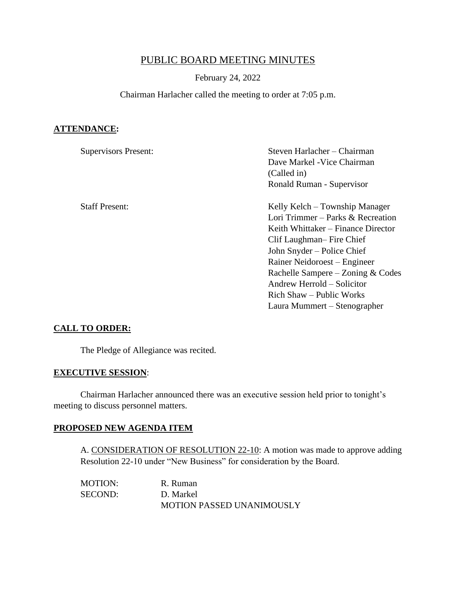# PUBLIC BOARD MEETING MINUTES

#### February 24, 2022

### Chairman Harlacher called the meeting to order at 7:05 p.m.

## **ATTENDANCE:**

| <b>Supervisors Present:</b> | Steven Harlacher – Chairman        |  |
|-----------------------------|------------------------------------|--|
|                             | Dave Markel - Vice Chairman        |  |
|                             | (Called in)                        |  |
|                             | Ronald Ruman - Supervisor          |  |
| <b>Staff Present:</b>       | Kelly Kelch – Township Manager     |  |
|                             | Lori Trimmer – Parks & Recreation  |  |
|                             | Keith Whittaker – Finance Director |  |
|                             | Clif Laughman– Fire Chief          |  |
|                             | John Snyder – Police Chief         |  |
|                             | Rainer Neidoroest – Engineer       |  |
|                             | Rachelle Sampere – Zoning & Codes  |  |
|                             | Andrew Herrold – Solicitor         |  |
|                             | Rich Shaw – Public Works           |  |
|                             | Laura Mummert – Stenographer       |  |

#### **CALL TO ORDER:**

The Pledge of Allegiance was recited.

#### **EXECUTIVE SESSION**:

Chairman Harlacher announced there was an executive session held prior to tonight's meeting to discuss personnel matters.

#### **PROPOSED NEW AGENDA ITEM**

A. CONSIDERATION OF RESOLUTION 22-10: A motion was made to approve adding Resolution 22-10 under "New Business" for consideration by the Board.

MOTION: R. Ruman SECOND: D. Markel MOTION PASSED UNANIMOUSLY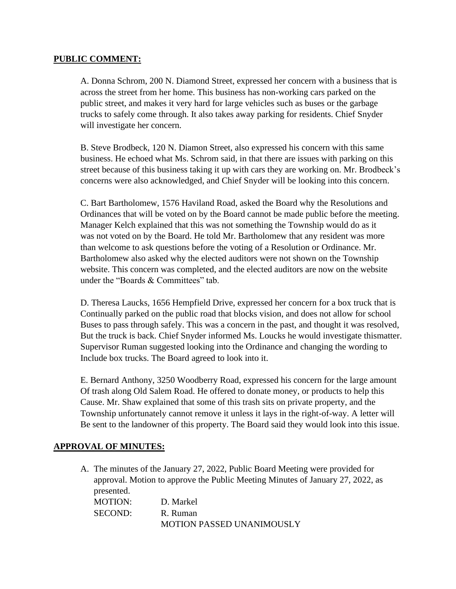## **PUBLIC COMMENT:**

A. Donna Schrom, 200 N. Diamond Street, expressed her concern with a business that is across the street from her home. This business has non-working cars parked on the public street, and makes it very hard for large vehicles such as buses or the garbage trucks to safely come through. It also takes away parking for residents. Chief Snyder will investigate her concern.

B. Steve Brodbeck, 120 N. Diamon Street, also expressed his concern with this same business. He echoed what Ms. Schrom said, in that there are issues with parking on this street because of this business taking it up with cars they are working on. Mr. Brodbeck's concerns were also acknowledged, and Chief Snyder will be looking into this concern.

C. Bart Bartholomew, 1576 Haviland Road, asked the Board why the Resolutions and Ordinances that will be voted on by the Board cannot be made public before the meeting. Manager Kelch explained that this was not something the Township would do as it was not voted on by the Board. He told Mr. Bartholomew that any resident was more than welcome to ask questions before the voting of a Resolution or Ordinance. Mr. Bartholomew also asked why the elected auditors were not shown on the Township website. This concern was completed, and the elected auditors are now on the website under the "Boards & Committees" tab.

D. Theresa Laucks, 1656 Hempfield Drive, expressed her concern for a box truck that is Continually parked on the public road that blocks vision, and does not allow for school Buses to pass through safely. This was a concern in the past, and thought it was resolved, But the truck is back. Chief Snyder informed Ms. Loucks he would investigate thismatter. Supervisor Ruman suggested looking into the Ordinance and changing the wording to Include box trucks. The Board agreed to look into it.

E. Bernard Anthony, 3250 Woodberry Road, expressed his concern for the large amount Of trash along Old Salem Road. He offered to donate money, or products to help this Cause. Mr. Shaw explained that some of this trash sits on private property, and the Township unfortunately cannot remove it unless it lays in the right-of-way. A letter will Be sent to the landowner of this property. The Board said they would look into this issue.

# **APPROVAL OF MINUTES:**

A. The minutes of the January 27, 2022, Public Board Meeting were provided for approval. Motion to approve the Public Meeting Minutes of January 27, 2022, as presented. MOTION: D. Markel SECOND<sup>.</sup> R. Ruman MOTION PASSED UNANIMOUSLY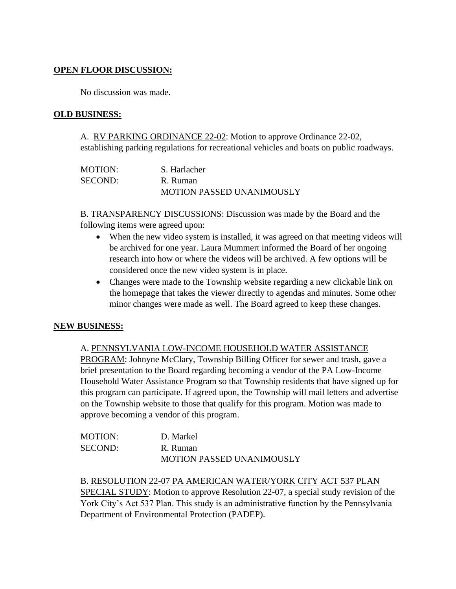# **OPEN FLOOR DISCUSSION:**

No discussion was made.

## **OLD BUSINESS:**

A. RV PARKING ORDINANCE 22-02: Motion to approve Ordinance 22-02, establishing parking regulations for recreational vehicles and boats on public roadways.

| MOTION: | S. Harlacher                     |
|---------|----------------------------------|
| SECOND: | R. Ruman                         |
|         | <b>MOTION PASSED UNANIMOUSLY</b> |

B. TRANSPARENCY DISCUSSIONS: Discussion was made by the Board and the following items were agreed upon:

- When the new video system is installed, it was agreed on that meeting videos will be archived for one year. Laura Mummert informed the Board of her ongoing research into how or where the videos will be archived. A few options will be considered once the new video system is in place.
- Changes were made to the Township website regarding a new clickable link on the homepage that takes the viewer directly to agendas and minutes. Some other minor changes were made as well. The Board agreed to keep these changes.

# **NEW BUSINESS:**

#### A. PENNSYLVANIA LOW-INCOME HOUSEHOLD WATER ASSISTANCE

PROGRAM: Johnyne McClary, Township Billing Officer for sewer and trash, gave a brief presentation to the Board regarding becoming a vendor of the PA Low-Income Household Water Assistance Program so that Township residents that have signed up for this program can participate. If agreed upon, the Township will mail letters and advertise on the Township website to those that qualify for this program. Motion was made to approve becoming a vendor of this program.

| <b>MOTION:</b> | D. Markel                        |
|----------------|----------------------------------|
| SECOND:        | R. Ruman                         |
|                | <b>MOTION PASSED UNANIMOUSLY</b> |

# B. RESOLUTION 22-07 PA AMERICAN WATER/YORK CITY ACT 537 PLAN

SPECIAL STUDY: Motion to approve Resolution 22-07, a special study revision of the York City's Act 537 Plan. This study is an administrative function by the Pennsylvania Department of Environmental Protection (PADEP).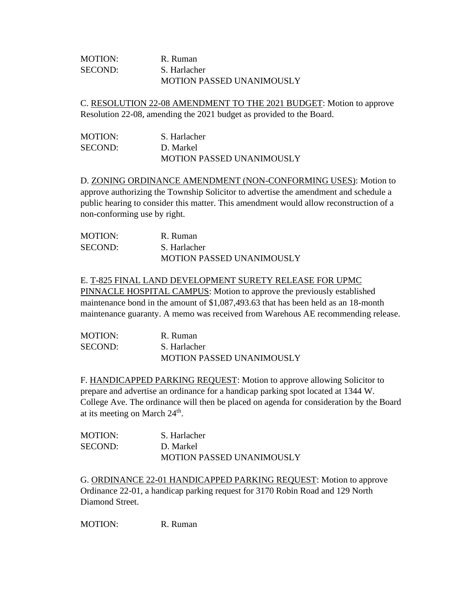| MOTION: | R. Ruman                         |
|---------|----------------------------------|
| SECOND: | S. Harlacher                     |
|         | <b>MOTION PASSED UNANIMOUSLY</b> |

C. RESOLUTION 22-08 AMENDMENT TO THE 2021 BUDGET: Motion to approve Resolution 22-08, amending the 2021 budget as provided to the Board.

| MOTION: | S. Harlacher                     |
|---------|----------------------------------|
| SECOND: | D. Markel                        |
|         | <b>MOTION PASSED UNANIMOUSLY</b> |

D. ZONING ORDINANCE AMENDMENT (NON-CONFORMING USES): Motion to approve authorizing the Township Solicitor to advertise the amendment and schedule a public hearing to consider this matter. This amendment would allow reconstruction of a non-conforming use by right.

| MOTION: | R. Ruman                         |
|---------|----------------------------------|
| SECOND: | S. Harlacher                     |
|         | <b>MOTION PASSED UNANIMOUSLY</b> |

## E. T-825 FINAL LAND DEVELOPMENT SURETY RELEASE FOR UPMC

PINNACLE HOSPITAL CAMPUS: Motion to approve the previously established maintenance bond in the amount of \$1,087,493.63 that has been held as an 18-month maintenance guaranty. A memo was received from Warehous AE recommending release.

| <b>MOTION:</b> | R. Ruman                         |
|----------------|----------------------------------|
| SECOND:        | S. Harlacher                     |
|                | <b>MOTION PASSED UNANIMOUSLY</b> |

F. HANDICAPPED PARKING REQUEST: Motion to approve allowing Solicitor to prepare and advertise an ordinance for a handicap parking spot located at 1344 W. College Ave. The ordinance will then be placed on agenda for consideration by the Board at its meeting on March  $24<sup>th</sup>$ .

| <b>MOTION:</b> | S. Harlacher                     |
|----------------|----------------------------------|
| <b>SECOND:</b> | D. Markel                        |
|                | <b>MOTION PASSED UNANIMOUSLY</b> |

G. ORDINANCE 22-01 HANDICAPPED PARKING REQUEST: Motion to approve Ordinance 22-01, a handicap parking request for 3170 Robin Road and 129 North Diamond Street.

MOTION: R. Ruman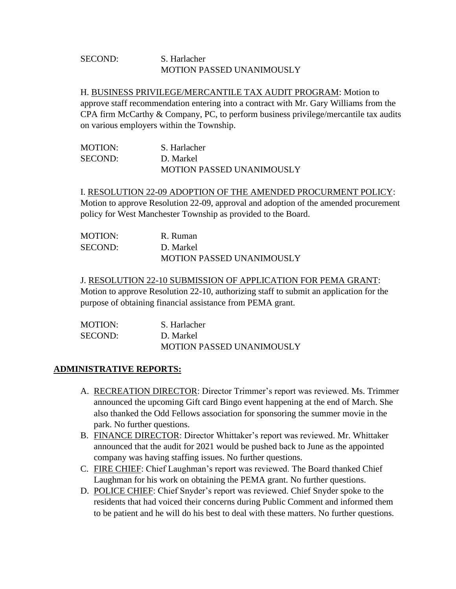# SECOND: S. Harlacher MOTION PASSED UNANIMOUSLY

H. BUSINESS PRIVILEGE/MERCANTILE TAX AUDIT PROGRAM: Motion to approve staff recommendation entering into a contract with Mr. Gary Williams from the CPA firm McCarthy & Company, PC, to perform business privilege/mercantile tax audits on various employers within the Township.

| MOTION: | S. Harlacher                     |
|---------|----------------------------------|
| SECOND: | D. Markel                        |
|         | <b>MOTION PASSED UNANIMOUSLY</b> |

I. RESOLUTION 22-09 ADOPTION OF THE AMENDED PROCURMENT POLICY: Motion to approve Resolution 22-09, approval and adoption of the amended procurement policy for West Manchester Township as provided to the Board.

| MOTION: | R. Ruman                         |
|---------|----------------------------------|
| SECOND: | D. Markel                        |
|         | <b>MOTION PASSED UNANIMOUSLY</b> |

J. RESOLUTION 22-10 SUBMISSION OF APPLICATION FOR PEMA GRANT: Motion to approve Resolution 22-10, authorizing staff to submit an application for the purpose of obtaining financial assistance from PEMA grant.

| MOTION: | S. Harlacher                     |
|---------|----------------------------------|
| SECOND: | D. Markel                        |
|         | <b>MOTION PASSED UNANIMOUSLY</b> |

# **ADMINISTRATIVE REPORTS:**

- A. RECREATION DIRECTOR: Director Trimmer's report was reviewed. Ms. Trimmer announced the upcoming Gift card Bingo event happening at the end of March. She also thanked the Odd Fellows association for sponsoring the summer movie in the park. No further questions.
- B. FINANCE DIRECTOR: Director Whittaker's report was reviewed. Mr. Whittaker announced that the audit for 2021 would be pushed back to June as the appointed company was having staffing issues. No further questions.
- C. FIRE CHIEF: Chief Laughman's report was reviewed. The Board thanked Chief Laughman for his work on obtaining the PEMA grant. No further questions.
- D. POLICE CHIEF: Chief Snyder's report was reviewed. Chief Snyder spoke to the residents that had voiced their concerns during Public Comment and informed them to be patient and he will do his best to deal with these matters. No further questions.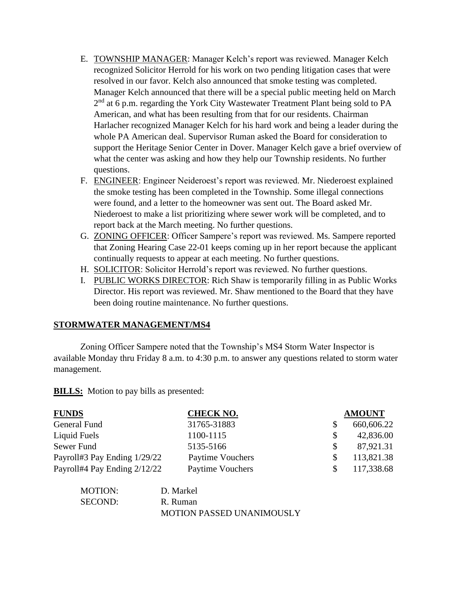- E. TOWNSHIP MANAGER: Manager Kelch's report was reviewed. Manager Kelch recognized Solicitor Herrold for his work on two pending litigation cases that were resolved in our favor. Kelch also announced that smoke testing was completed. Manager Kelch announced that there will be a special public meeting held on March  $2<sup>nd</sup>$  at 6 p.m. regarding the York City Wastewater Treatment Plant being sold to PA American, and what has been resulting from that for our residents. Chairman Harlacher recognized Manager Kelch for his hard work and being a leader during the whole PA American deal. Supervisor Ruman asked the Board for consideration to support the Heritage Senior Center in Dover. Manager Kelch gave a brief overview of what the center was asking and how they help our Township residents. No further questions.
- F. ENGINEER: Engineer Neideroest's report was reviewed. Mr. Niederoest explained the smoke testing has been completed in the Township. Some illegal connections were found, and a letter to the homeowner was sent out. The Board asked Mr. Niederoest to make a list prioritizing where sewer work will be completed, and to report back at the March meeting. No further questions.
- G. ZONING OFFICER: Officer Sampere's report was reviewed. Ms. Sampere reported that Zoning Hearing Case 22-01 keeps coming up in her report because the applicant continually requests to appear at each meeting. No further questions.
- H. SOLICITOR: Solicitor Herrold's report was reviewed. No further questions.
- I. PUBLIC WORKS DIRECTOR: Rich Shaw is temporarily filling in as Public Works Director. His report was reviewed. Mr. Shaw mentioned to the Board that they have been doing routine maintenance. No further questions.

# **STORMWATER MANAGEMENT/MS4**

Zoning Officer Sampere noted that the Township's MS4 Storm Water Inspector is available Monday thru Friday 8 a.m. to 4:30 p.m. to answer any questions related to storm water management.

**BILLS:** Motion to pay bills as presented:

| <b>CHECK NO.</b> |               | <b>AMOUNT</b> |
|------------------|---------------|---------------|
| 31765-31883      |               | 660,606.22    |
| 1100-1115        | <sup>\$</sup> | 42,836.00     |
| 5135-5166        | <sup>S</sup>  | 87,921.31     |
| Paytime Vouchers |               | 113,821.38    |
| Paytime Vouchers |               | 117,338.68    |
|                  |               |               |

| MOTION: | D. Markel                        |
|---------|----------------------------------|
| SECOND: | R. Ruman                         |
|         | <b>MOTION PASSED UNANIMOUSLY</b> |